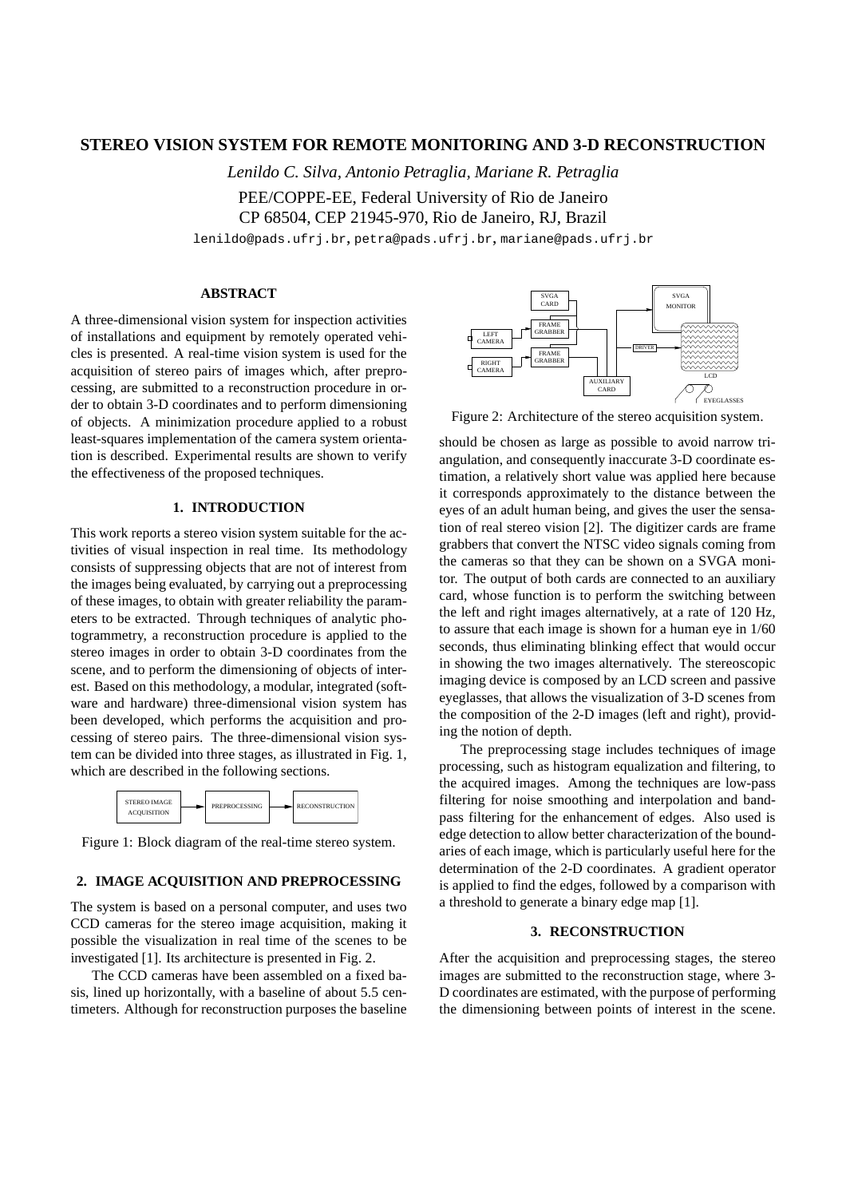# **STEREO VISION SYSTEM FOR REMOTE MONITORING AND 3-D RECONSTRUCTION**

*Lenildo C. Silva, Antonio Petraglia, Mariane R. Petraglia* PEE/COPPE-EE, Federal University of Rio de Janeiro CP 68504, CEP 21945-970, Rio de Janeiro, RJ, Brazil

lenildo@pads.ufrj.br, petra@pads.ufrj.br, mariane@pads.ufrj.br

### **ABSTRACT**

A three-dimensional vision system for inspection activities of installations and equipment by remotely operated vehicles is presented. A real-time vision system is used for the acquisition of stereo pairs of images which, after preprocessing, are submitted to a reconstruction procedure in order to obtain 3-D coordinates and to perform dimensioning of objects. A minimization procedure applied to a robust least-squares implementation of the camera system orientation is described. Experimental results are shown to verify the effectiveness of the proposed techniques.

## **1. INTRODUCTION**

This work reports a stereo vision system suitable for the activities of visual inspection in real time. Its methodology consists of suppressing objects that are not of interest from the images being evaluated, by carrying out a preprocessing of these images, to obtain with greater reliability the parameters to be extracted. Through techniques of analytic photogrammetry, a reconstruction procedure is applied to the stereo images in order to obtain 3-D coordinates from the scene, and to perform the dimensioning of objects of interest. Based on this methodology, a modular, integrated (software and hardware) three-dimensional vision system has been developed, which performs the acquisition and processing of stereo pairs. The three-dimensional vision system can be divided into three stages, as illustrated in Fig. 1, which are described in the following sections.



Figure 1: Block diagram of the real-time stereo system.

## **2. IMAGE ACQUISITION AND PREPROCESSING**

The system is based on a personal computer, and uses two CCD cameras for the stereo image acquisition, making it possible the visualization in real time of the scenes to be investigated [1]. Its architecture is presented in Fig. 2.

The CCD cameras have been assembled on a fixed basis, lined up horizontally, with a baseline of about 5.5 centimeters. Although for reconstruction purposes the baseline



Figure 2: Architecture of the stereo acquisition system.

should be chosen as large as possible to avoid narrow triangulation, and consequently inaccurate 3-D coordinate estimation, a relatively short value was applied here because it corresponds approximately to the distance between the eyes of an adult human being, and gives the user the sensation of real stereo vision [2]. The digitizer cards are frame grabbers that convert the NTSC video signals coming from the cameras so that they can be shown on a SVGA monitor. The output of both cards are connected to an auxiliary card, whose function is to perform the switching between the left and right images alternatively, at a rate of 120 Hz, to assure that each image is shown for a human eye in 1/60 seconds, thus eliminating blinking effect that would occur in showing the two images alternatively. The stereoscopic imaging device is composed by an LCD screen and passive eyeglasses, that allows the visualization of 3-D scenes from the composition of the 2-D images (left and right), providing the notion of depth.

The preprocessing stage includes techniques of image processing, such as histogram equalization and filtering, to the acquired images. Among the techniques are low-pass filtering for noise smoothing and interpolation and bandpass filtering for the enhancement of edges. Also used is edge detection to allow better characterization of the boundaries of each image, which is particularly useful here for the determination of the 2-D coordinates. A gradient operator is applied to find the edges, followed by a comparison with a threshold to generate a binary edge map [1].

## **3. RECONSTRUCTION**

After the acquisition and preprocessing stages, the stereo images are submitted to the reconstruction stage, where 3- D coordinates are estimated, with the purpose of performing the dimensioning between points of interest in the scene.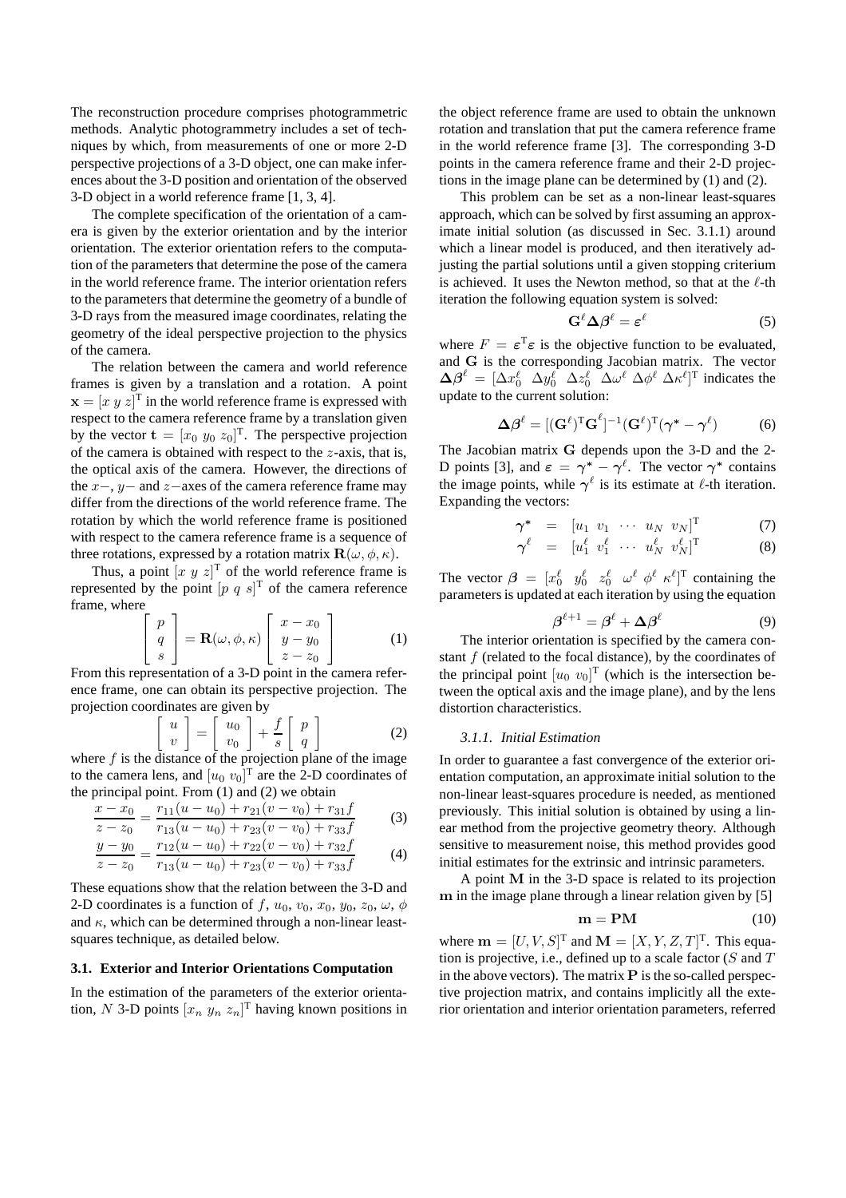The reconstruction procedure comprises photogrammetric methods. Analytic photogrammetry includes a set of techniques by which, from measurements of one or more 2-D perspective projections of a 3-D object, one can make inferences about the 3-D position and orientation of the observed 3-D object in a world reference frame [1, 3, 4].

The complete specification of the orientation of a camera is given by the exterior orientation and by the interior orientation. The exterior orientation refers to the computation of the parameters that determine the pose of the camera in the world reference frame. The interior orientation refers to the parameters that determine the geometry of a bundle of 3-D rays from the measured image coordinates, relating the geometry of the ideal perspective projection to the physics of the camera.

The relation between the camera and world reference frames is given by a translation and a rotation. A point  $\mathbf{x} = [x \ y \ z]^T$  in the world reference frame is expressed with respect to the camera reference frame by a translation given by the vector  $\mathbf{t} = [x_0 \ y_0 \ z_0]^T$ . The perspective projection of the camera is obtained with respect to the  $z$ -axis, that is, the optical axis of the camera. However, the directions of the  $x-$ ,  $y-$  and  $z-$ axes of the camera reference frame may differ from the directions of the world reference frame. The rotation by which the world reference frame is positioned with respect to the camera reference frame is a sequence of three rotations, expressed by a rotation matrix  $\mathbf{R}(\omega, \phi, \kappa)$ .

Thus, a point  $[x \, y \, z]^T$  of the world reference frame is represented by the point  $[p \ q \ s]^T$  of the camera reference frame, where

$$
\begin{bmatrix} p \\ q \\ s \end{bmatrix} = \mathbf{R}(\omega, \phi, \kappa) \begin{bmatrix} x - x_0 \\ y - y_0 \\ z - z_0 \end{bmatrix}
$$
 (1)

From this representation of a 3-D point in the camera reference frame, one can obtain its perspective projection. The projection coordinates are given by

$$
\begin{bmatrix} u \\ v \end{bmatrix} = \begin{bmatrix} u_0 \\ v_0 \end{bmatrix} + \frac{f}{s} \begin{bmatrix} p \\ q \end{bmatrix}
$$
 (2)

where  $f$  is the distance of the projection plane of the image to the camera lens, and  $[u_0, v_0]^T$  are the 2-D coordinates of the principal point. From (1) and (2) we obtain

$$
\frac{x - x_0}{x - x_0} = \frac{r_{11}(u - u_0) + r_{21}(v - v_0) + r_{31}f}{(u_0 + u_0)(v_0 + v_0)} \tag{3}
$$

$$
z - z_0 = r_{13}(u - u_0) + r_{23}(v - v_0) + r_{33}f
$$

$$
\frac{y-y_0}{z-z_0} = \frac{r_{12}(u-u_0) + r_{22}(v-v_0) + r_{32}f}{r_{13}(u-u_0) + r_{23}(v-v_0) + r_{33}f}
$$
(4)

These equations show that the relation between the 3-D and 2-D coordinates is a function of f,  $u_0$ ,  $v_0$ ,  $x_0$ ,  $y_0$ ,  $z_0$ ,  $\omega$ ,  $\phi$ and  $\kappa$ , which can be determined through a non-linear leastsquares technique, as detailed below.

### **3.1. Exterior and Interior Orientations Computation**

In the estimation of the parameters of the exterior orientation, N 3-D points  $[x_n \ y_n \ z_n]^T$  having known positions in

the object reference frame are used to obtain the unknown rotation and translation that put the camera reference frame in the world reference frame [3]. The corresponding 3-D points in the camera reference frame and their 2-D projections in the image plane can be determined by (1) and (2).

This problem can be set as a non-linear least-squares approach, which can be solved by first assuming an approximate initial solution (as discussed in Sec. 3.1.1) around which a linear model is produced, and then iteratively adjusting the partial solutions until a given stopping criterium is achieved. It uses the Newton method, so that at the  $\ell$ -th iteration the following equation system is solved:

$$
\mathbf{G}^{\ell} \Delta \boldsymbol{\beta}^{\ell} = \boldsymbol{\varepsilon}^{\ell} \tag{5}
$$

where  $F = \varepsilon^{T} \varepsilon$  is the objective function to be evaluated, and G is the corresponding Jacobian matrix. The vector  $\Delta \beta^{\ell} = [\Delta x_0^{\ell} \ \Delta y_0^{\ell} \ \Delta z_0^{\ell} \ \Delta \omega^{\ell} \ \Delta \phi^{\ell} \ \Delta \kappa^{\ell}]^{\text{T}}$  indicates the update to the current solution:

$$
\Delta \beta^{\ell} = [(\mathbf{G}^{\ell})^{\mathrm{T}} \mathbf{G}^{\ell}]^{-1} (\mathbf{G}^{\ell})^{\mathrm{T}} (\boldsymbol{\gamma}^* - \boldsymbol{\gamma}^{\ell}) \tag{6}
$$

The Jacobian matrix G depends upon the 3-D and the 2- D points [3], and  $\varepsilon = \gamma^* - \gamma^{\ell}$ . The vector  $\gamma^*$  contains the image points, while  $\gamma^{\ell}$  is its estimate at  $\ell$ -th iteration. Expanding the vectors:

$$
\boldsymbol{\gamma}^* = [u_1 \ v_1 \ \cdots \ u_N \ v_N]^T \qquad (7)
$$

$$
\boldsymbol{\gamma}^{\ell} = [u_1^{\ell} \hspace{0.1cm} v_1^{\ell} \hspace{0.1cm} \cdots \hspace{0.1cm} u_N^{\ell} \hspace{0.1cm} v_N^{\ell}]^{\mathrm{T}} \hspace{1.5cm} (8)
$$

The vector  $\beta = [x_0^{\ell} \quad y_0^{\ell} \quad z_0^{\ell} \quad \omega^{\ell} \quad \phi^{\ell} \quad \kappa^{\ell}]^T$  containing the parameters is updated at each iteration by using the equation

$$
\beta^{\ell+1} = \beta^{\ell} + \Delta \beta^{\ell} \tag{9}
$$

The interior orientation is specified by the camera constant  $f$  (related to the focal distance), by the coordinates of the principal point  $[u_0, v_0]^T$  (which is the intersection between the optical axis and the image plane), and by the lens distortion characteristics.

### *3.1.1. Initial Estimation*

In order to guarantee a fast convergence of the exterior orientation computation, an approximate initial solution to the non-linear least-squares procedure is needed, as mentioned previously. This initial solution is obtained by using a linear method from the projective geometry theory. Although sensitive to measurement noise, this method provides good initial estimates for the extrinsic and intrinsic parameters.

A point M in the 3-D space is related to its projection m in the image plane through a linear relation given by [5]

$$
\mathbf{m} = \mathbf{P}\mathbf{M} \tag{10}
$$

where  $\mathbf{m} = [U, V, S]^T$  and  $\mathbf{M} = [X, Y, Z, T]^T$ . This equation is projective, i.e., defined up to a scale factor ( $S$  and  $T$ in the above vectors). The matrix  $P$  is the so-called perspective projection matrix, and contains implicitly all the exterior orientation and interior orientation parameters, referred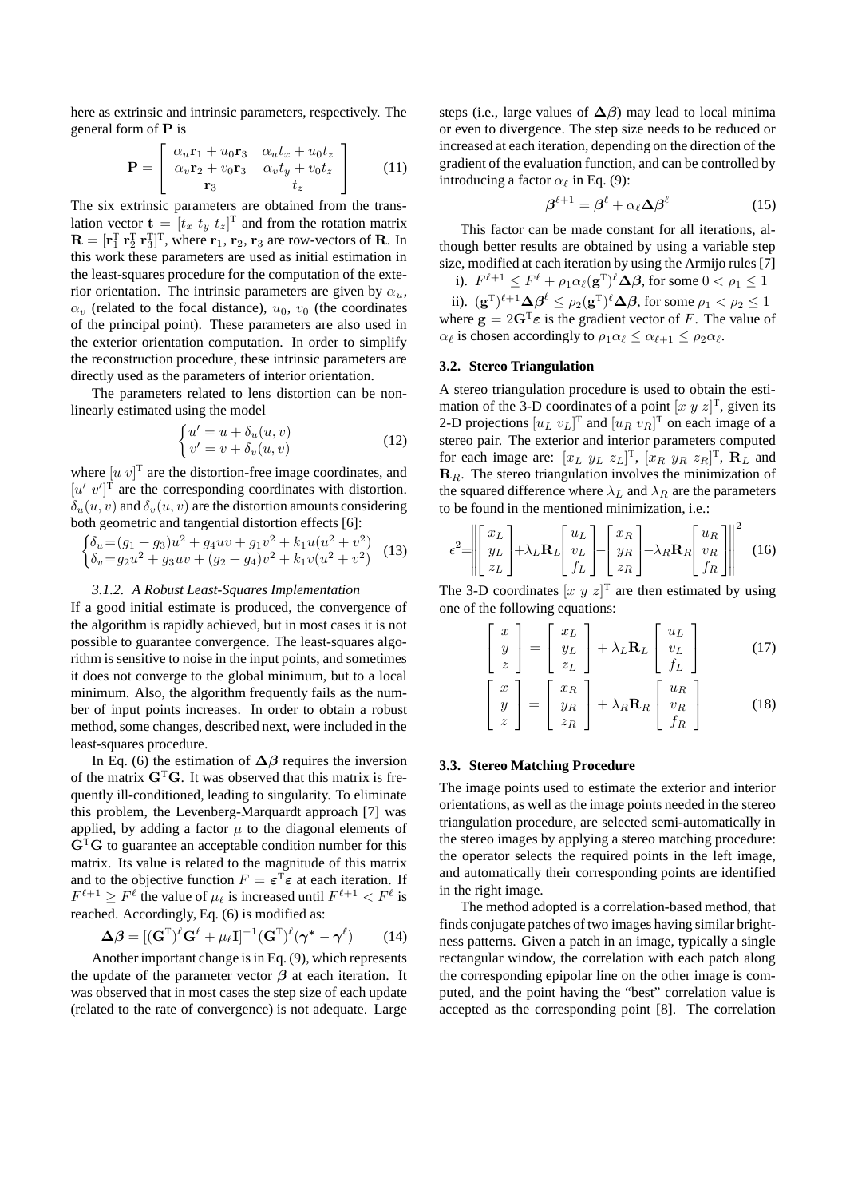here as extrinsic and intrinsic parameters, respectively. The general form of P is

$$
\mathbf{P} = \begin{bmatrix} \alpha_u \mathbf{r}_1 + u_0 \mathbf{r}_3 & \alpha_u t_x + u_0 t_z \\ \alpha_v \mathbf{r}_2 + v_0 \mathbf{r}_3 & \alpha_v t_y + v_0 t_z \\ \mathbf{r}_3 & t_z \end{bmatrix}
$$
(11)

The six extrinsic parameters are obtained from the translation vector  $\mathbf{t} = [t_x \ t_y \ t_z]^T$  and from the rotation matrix  $\mathbf{R} = [\mathbf{r}_1^{\mathrm{T}} \ \mathbf{r}_2^{\mathrm{T}} \ \mathbf{r}_3^{\mathrm{T}}]^{\mathrm{T}}$ , where  $\mathbf{r}_1$ ,  $\mathbf{r}_2$ ,  $\mathbf{r}_3$  are row-vectors of **R**. In this work these parameters are used as initial estimation in the least-squares procedure for the computation of the exterior orientation. The intrinsic parameters are given by  $\alpha_{\nu}$ .  $\alpha_v$  (related to the focal distance),  $u_0$ ,  $v_0$  (the coordinates of the principal point). These parameters are also used in the exterior orientation computation. In order to simplify the reconstruction procedure, these intrinsic parameters are directly used as the parameters of interior orientation.

The parameters related to lens distortion can be nonlinearly estimated using the model

$$
\begin{cases}\nu' = u + \delta_u(u, v) \\
v' = v + \delta_v(u, v)\n\end{cases}
$$
\n(12)

where  $[u \; v]^T$  are the distortion-free image coordinates, and  $[u' \ v']^{\dagger}$  are the corresponding coordinates with distortion.  $\delta_u(u, v)$  and  $\delta_v(u, v)$  are the distortion amounts considering both geometric and tangential distortion effects [6]:

$$
\begin{cases} \delta_u = (g_1 + g_3)u^2 + g_4 uv + g_1 v^2 + k_1 u(u^2 + v^2) \\ \delta_v = g_2 u^2 + g_3 uv + (g_2 + g_4)v^2 + k_1 v(u^2 + v^2) \end{cases}
$$
 (13)

#### *3.1.2. A Robust Least-Squares Implementation*

If a good initial estimate is produced, the convergence of the algorithm is rapidly achieved, but in most cases it is not possible to guarantee convergence. The least-squares algorithm is sensitive to noise in the input points, and sometimes it does not converge to the global minimum, but to a local minimum. Also, the algorithm frequently fails as the number of input points increases. In order to obtain a robust method, some changes, described next, were included in the least-squares procedure.

In Eq. (6) the estimation of  $\Delta\beta$  requires the inversion of the matrix  $G<sup>T</sup>G$ . It was observed that this matrix is frequently ill-conditioned, leading to singularity. To eliminate this problem, the Levenberg-Marquardt approach [7] was applied, by adding a factor  $\mu$  to the diagonal elements of  $G<sup>T</sup>G$  to guarantee an acceptable condition number for this matrix. Its value is related to the magnitude of this matrix and to the objective function  $F = \varepsilon^T \varepsilon$  at each iteration. If  $F^{\ell+1} \geq F^{\ell}$  the value of  $\mu_{\ell}$  is increased until  $F^{\ell+1} < F^{\ell}$  is reached. Accordingly, Eq. (6) is modified as:

$$
\Delta \beta = [(\mathbf{G}^{\mathrm{T}})^{\ell} \mathbf{G}^{\ell} + \mu_{\ell} \mathbf{I}]^{-1} (\mathbf{G}^{\mathrm{T}})^{\ell} (\boldsymbol{\gamma}^* - \boldsymbol{\gamma}^{\ell}) \qquad (14)
$$

Another important change is in Eq. (9), which represents the update of the parameter vector  $\beta$  at each iteration. It was observed that in most cases the step size of each update (related to the rate of convergence) is not adequate. Large steps (i.e., large values of  $\Delta\beta$ ) may lead to local minima or even to divergence. The step size needs to be reduced or increased at each iteration, depending on the direction of the gradient of the evaluation function, and can be controlled by introducing a factor  $\alpha_{\ell}$  in Eq. (9):

$$
\beta^{\ell+1} = \beta^{\ell} + \alpha_{\ell} \Delta \beta^{\ell} \tag{15}
$$

This factor can be made constant for all iterations, although better results are obtained by using a variable step size, modified at each iteration by using the Armijo rules [7]

i).  $F^{\ell+1} \leq F^{\ell} + \rho_1 \alpha_{\ell}(\mathbf{g}^{\mathrm{T}})^{\ell} \Delta \boldsymbol{\beta}$ , for some  $0 < \rho_1 \leq 1$ ii).  $(g^T)^{\ell+1}\Delta\beta^{\ell} \leq \rho_2(g^T)^{\ell}\Delta\beta$ , for some  $\rho_1 < \rho_2 \leq 1$ 

where  $\mathbf{g} = 2\mathbf{G}^{\mathrm{T}}\boldsymbol{\varepsilon}$  is the gradient vector of F. The value of  $\alpha_{\ell}$  is chosen accordingly to  $\rho_1 \alpha_{\ell} \leq \alpha_{\ell+1} \leq \rho_2 \alpha_{\ell}$ .

### **3.2. Stereo Triangulation**

A stereo triangulation procedure is used to obtain the estimation of the 3-D coordinates of a point  $[x \, y \, z]^T$ , given its 2-D projections  $[u_L \ v_L]^T$  and  $[u_R \ v_R]^T$  on each image of a stereo pair. The exterior and interior parameters computed for each image are:  $[x_L y_L z_L]^T$ ,  $[x_R y_R z_R]^T$ ,  $\mathbf{R}_L$  and  $\mathbf{R}_R$ . The stereo triangulation involves the minimization of the squared difference where  $\lambda_L$  and  $\lambda_R$  are the parameters to be found in the mentioned minimization, i.e.:

$$
\epsilon^2 = \left\| \begin{bmatrix} x_L \\ y_L \\ z_L \end{bmatrix} + \lambda_L \mathbf{R}_L \begin{bmatrix} u_L \\ v_L \\ f_L \end{bmatrix} - \begin{bmatrix} x_R \\ y_R \\ z_R \end{bmatrix} - \lambda_R \mathbf{R}_R \begin{bmatrix} u_R \\ v_R \\ f_R \end{bmatrix} \right\|^2 \tag{16}
$$

The 3-D coordinates  $[x \, y \, z]^T$  are then estimated by using one of the following equations:

$$
\begin{bmatrix} x \\ y \\ z \end{bmatrix} = \begin{bmatrix} x_L \\ y_L \\ z_L \end{bmatrix} + \lambda_L \mathbf{R}_L \begin{bmatrix} u_L \\ v_L \\ f_L \end{bmatrix}
$$
 (17)

$$
\begin{bmatrix} x \\ y \\ z \end{bmatrix} = \begin{bmatrix} x_R \\ y_R \\ z_R \end{bmatrix} + \lambda_R \mathbf{R}_R \begin{bmatrix} u_R \\ v_R \\ f_R \end{bmatrix}
$$
 (18)

#### **3.3. Stereo Matching Procedure**

The image points used to estimate the exterior and interior orientations, as well as the image points needed in the stereo triangulation procedure, are selected semi-automatically in the stereo images by applying a stereo matching procedure: the operator selects the required points in the left image, and automatically their corresponding points are identified in the right image.

The method adopted is a correlation-based method, that finds conjugate patches of two images having similar brightness patterns. Given a patch in an image, typically a single rectangular window, the correlation with each patch along the corresponding epipolar line on the other image is computed, and the point having the "best" correlation value is accepted as the corresponding point [8]. The correlation